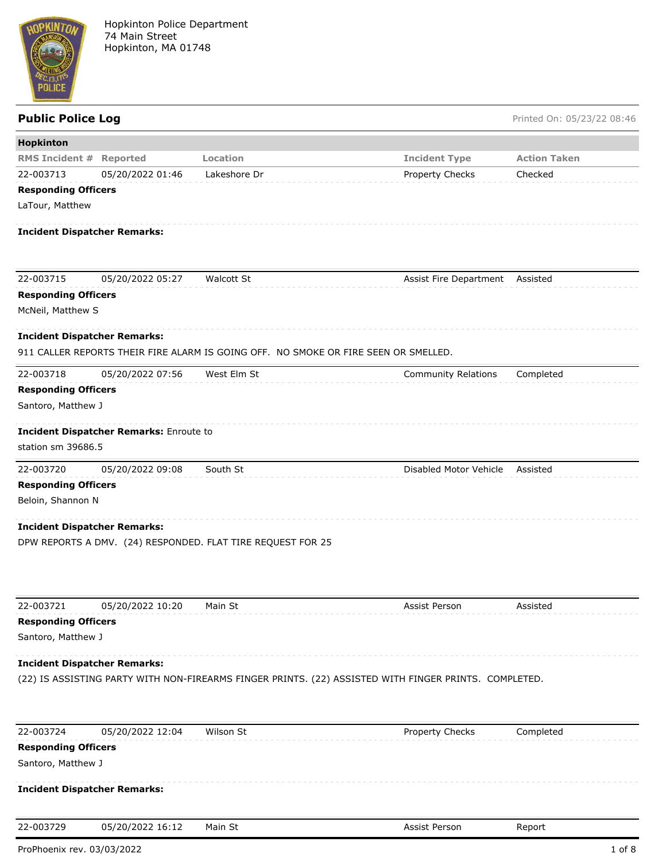

Public Police Log **Public Police Log** Printed On: 05/23/22 08:46

| Hopkinton                  |                                         |                                                                                                       |                            |                     |
|----------------------------|-----------------------------------------|-------------------------------------------------------------------------------------------------------|----------------------------|---------------------|
| <b>RMS Incident #</b>      | <b>Reported</b>                         | Location                                                                                              | <b>Incident Type</b>       | <b>Action Taken</b> |
| 22-003713                  | 05/20/2022 01:46                        | Lakeshore Dr                                                                                          | Property Checks            | Checked             |
| <b>Responding Officers</b> |                                         |                                                                                                       |                            |                     |
| LaTour, Matthew            |                                         |                                                                                                       |                            |                     |
|                            | <b>Incident Dispatcher Remarks:</b>     |                                                                                                       |                            |                     |
|                            |                                         |                                                                                                       |                            |                     |
| 22-003715                  | 05/20/2022 05:27                        | <b>Walcott St</b>                                                                                     | Assist Fire Department     | Assisted            |
| <b>Responding Officers</b> |                                         |                                                                                                       |                            |                     |
| McNeil, Matthew S          |                                         |                                                                                                       |                            |                     |
|                            | <b>Incident Dispatcher Remarks:</b>     |                                                                                                       |                            |                     |
|                            |                                         | 911 CALLER REPORTS THEIR FIRE ALARM IS GOING OFF. NO SMOKE OR FIRE SEEN OR SMELLED.                   |                            |                     |
| 22-003718                  | 05/20/2022 07:56                        | West Elm St                                                                                           | <b>Community Relations</b> | Completed           |
| <b>Responding Officers</b> |                                         |                                                                                                       |                            |                     |
| Santoro, Matthew J         |                                         |                                                                                                       |                            |                     |
|                            | Incident Dispatcher Remarks: Enroute to |                                                                                                       |                            |                     |
| station sm 39686.5         |                                         |                                                                                                       |                            |                     |
| 22-003720                  | 05/20/2022 09:08                        | South St                                                                                              | Disabled Motor Vehicle     | Assisted            |
| <b>Responding Officers</b> |                                         |                                                                                                       |                            |                     |
| Beloin, Shannon N          |                                         |                                                                                                       |                            |                     |
|                            | <b>Incident Dispatcher Remarks:</b>     |                                                                                                       |                            |                     |
|                            |                                         | DPW REPORTS A DMV. (24) RESPONDED. FLAT TIRE REQUEST FOR 25                                           |                            |                     |
|                            |                                         |                                                                                                       |                            |                     |
| 22-003721                  | 05/20/2022 10:20                        | Main St                                                                                               | Assist Person              | Assisted            |
| <b>Responding Officers</b> |                                         |                                                                                                       |                            |                     |
| Santoro, Matthew J         |                                         |                                                                                                       |                            |                     |
|                            | <b>Incident Dispatcher Remarks:</b>     |                                                                                                       |                            |                     |
|                            |                                         | (22) IS ASSISTING PARTY WITH NON-FIREARMS FINGER PRINTS. (22) ASSISTED WITH FINGER PRINTS. COMPLETED. |                            |                     |
|                            |                                         |                                                                                                       |                            |                     |
| 22-003724                  | 05/20/2022 12:04                        | Wilson St                                                                                             | Property Checks            | Completed           |
| <b>Responding Officers</b> |                                         |                                                                                                       |                            |                     |
| Santoro, Matthew J         |                                         |                                                                                                       |                            |                     |
|                            | <b>Incident Dispatcher Remarks:</b>     |                                                                                                       |                            |                     |
| 22-003729                  | 05/20/2022 16:12                        | Main St                                                                                               | Assist Person              | Report              |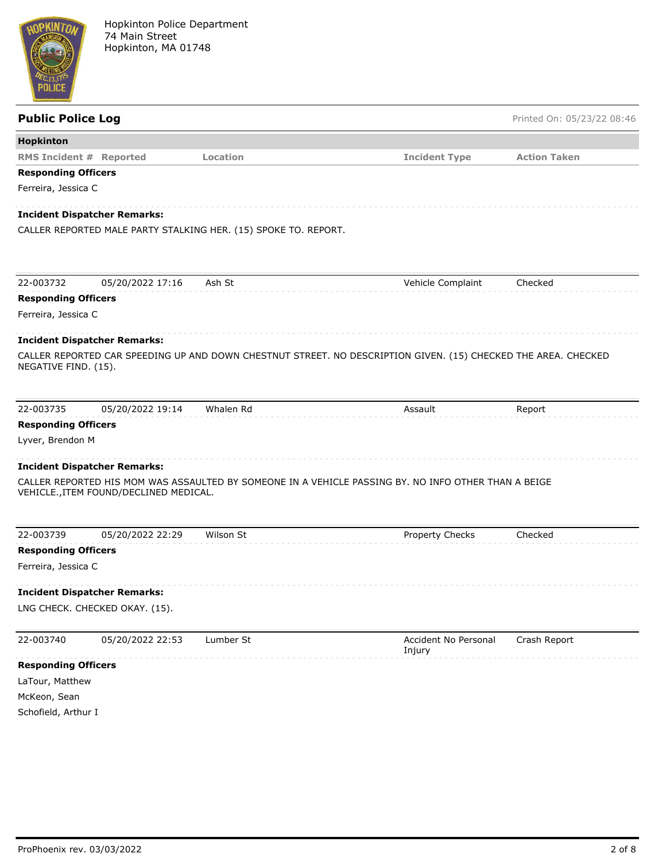

| <b>Public Police Log</b>   |                                        |                                                                 |                                                                                                                | Printed On: 05/23/22 08:46 |
|----------------------------|----------------------------------------|-----------------------------------------------------------------|----------------------------------------------------------------------------------------------------------------|----------------------------|
| Hopkinton                  |                                        |                                                                 |                                                                                                                |                            |
|                            | <b>RMS Incident # Reported</b>         | Location                                                        | <b>Incident Type</b>                                                                                           | <b>Action Taken</b>        |
| <b>Responding Officers</b> |                                        |                                                                 |                                                                                                                |                            |
| Ferreira, Jessica C        |                                        |                                                                 |                                                                                                                |                            |
|                            | <b>Incident Dispatcher Remarks:</b>    |                                                                 |                                                                                                                |                            |
|                            |                                        | CALLER REPORTED MALE PARTY STALKING HER. (15) SPOKE TO. REPORT. |                                                                                                                |                            |
| 22-003732                  | 05/20/2022 17:16                       | Ash St                                                          | Vehicle Complaint                                                                                              | Checked                    |
| <b>Responding Officers</b> |                                        |                                                                 |                                                                                                                |                            |
| Ferreira, Jessica C        |                                        |                                                                 |                                                                                                                |                            |
|                            | <b>Incident Dispatcher Remarks:</b>    |                                                                 |                                                                                                                |                            |
| NEGATIVE FIND. (15).       |                                        |                                                                 | CALLER REPORTED CAR SPEEDING UP AND DOWN CHESTNUT STREET. NO DESCRIPTION GIVEN. (15) CHECKED THE AREA. CHECKED |                            |
| 22-003735                  | 05/20/2022 19:14                       | Whalen Rd                                                       | Assault                                                                                                        | Report                     |
| <b>Responding Officers</b> |                                        |                                                                 |                                                                                                                |                            |
| Lyver, Brendon M           |                                        |                                                                 |                                                                                                                |                            |
|                            | <b>Incident Dispatcher Remarks:</b>    |                                                                 |                                                                                                                |                            |
|                            | VEHICLE., ITEM FOUND/DECLINED MEDICAL. |                                                                 | CALLER REPORTED HIS MOM WAS ASSAULTED BY SOMEONE IN A VEHICLE PASSING BY. NO INFO OTHER THAN A BEIGE           |                            |
| 22-003739                  | 05/20/2022 22:29                       | Wilson St                                                       | Property Checks                                                                                                | Checked                    |
| <b>Responding Officers</b> |                                        |                                                                 |                                                                                                                |                            |
| Ferreira, Jessica C        |                                        |                                                                 |                                                                                                                |                            |
|                            | <b>Incident Dispatcher Remarks:</b>    |                                                                 |                                                                                                                |                            |
|                            | LNG CHECK. CHECKED OKAY. (15).         |                                                                 |                                                                                                                |                            |
| 22-003740                  | 05/20/2022 22:53                       | Lumber St                                                       | Accident No Personal<br>Injury                                                                                 | Crash Report               |
| <b>Responding Officers</b> |                                        |                                                                 |                                                                                                                |                            |
| LaTour, Matthew            |                                        |                                                                 |                                                                                                                |                            |
| McKeon, Sean               |                                        |                                                                 |                                                                                                                |                            |
| Schofield, Arthur I        |                                        |                                                                 |                                                                                                                |                            |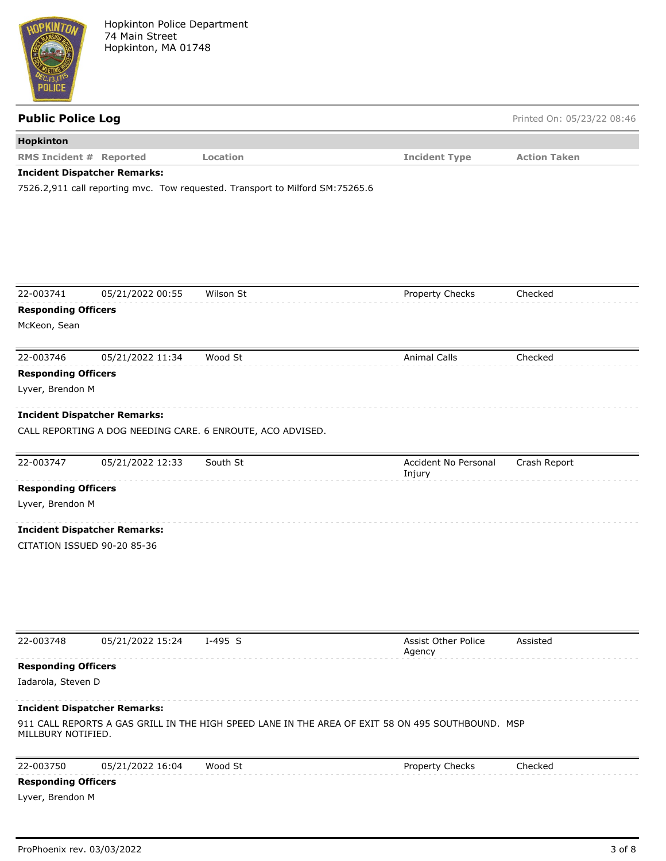

| <b>Public Police Log</b>                                    |                                     |                                                                                                   |                                | Printed On: 05/23/22 08:46 |
|-------------------------------------------------------------|-------------------------------------|---------------------------------------------------------------------------------------------------|--------------------------------|----------------------------|
| Hopkinton                                                   |                                     |                                                                                                   |                                |                            |
| <b>RMS Incident # Reported</b>                              |                                     | Location                                                                                          | <b>Incident Type</b>           | <b>Action Taken</b>        |
|                                                             | <b>Incident Dispatcher Remarks:</b> | 7526.2,911 call reporting mvc. Tow requested. Transport to Milford SM:75265.6                     |                                |                            |
|                                                             |                                     |                                                                                                   |                                |                            |
| 22-003741                                                   | 05/21/2022 00:55                    | Wilson St                                                                                         | Property Checks                | Checked                    |
| <b>Responding Officers</b><br>McKeon, Sean                  |                                     |                                                                                                   |                                |                            |
| 22-003746<br><b>Responding Officers</b><br>Lyver, Brendon M | 05/21/2022 11:34                    | Wood St                                                                                           | <b>Animal Calls</b>            | Checked                    |
|                                                             | <b>Incident Dispatcher Remarks:</b> | CALL REPORTING A DOG NEEDING CARE. 6 ENROUTE, ACO ADVISED.                                        |                                |                            |
| 22-003747                                                   | 05/21/2022 12:33                    | South St                                                                                          | Accident No Personal<br>Injury | Crash Report               |
| <b>Responding Officers</b>                                  |                                     |                                                                                                   |                                |                            |
| Lyver, Brendon M                                            |                                     |                                                                                                   |                                |                            |
|                                                             | <b>Incident Dispatcher Remarks:</b> |                                                                                                   |                                |                            |
|                                                             | CITATION ISSUED 90-20 85-36         |                                                                                                   |                                |                            |
| 22-003748                                                   | 05/21/2022 15:24                    | $I-495$ S                                                                                         | Assist Other Police<br>Agency  | Assisted                   |
| <b>Responding Officers</b>                                  |                                     |                                                                                                   |                                |                            |
| Iadarola, Steven D                                          |                                     |                                                                                                   |                                |                            |
|                                                             | <b>Incident Dispatcher Remarks:</b> |                                                                                                   |                                |                            |
| MILLBURY NOTIFIED.                                          |                                     | 911 CALL REPORTS A GAS GRILL IN THE HIGH SPEED LANE IN THE AREA OF EXIT 58 ON 495 SOUTHBOUND. MSP |                                |                            |

| 22-003750                  | 05/21/2022 16:04 | Wood St | Property Checks | Checked |
|----------------------------|------------------|---------|-----------------|---------|
| <b>Responding Officers</b> |                  |         |                 |         |

Lyver, Brendon M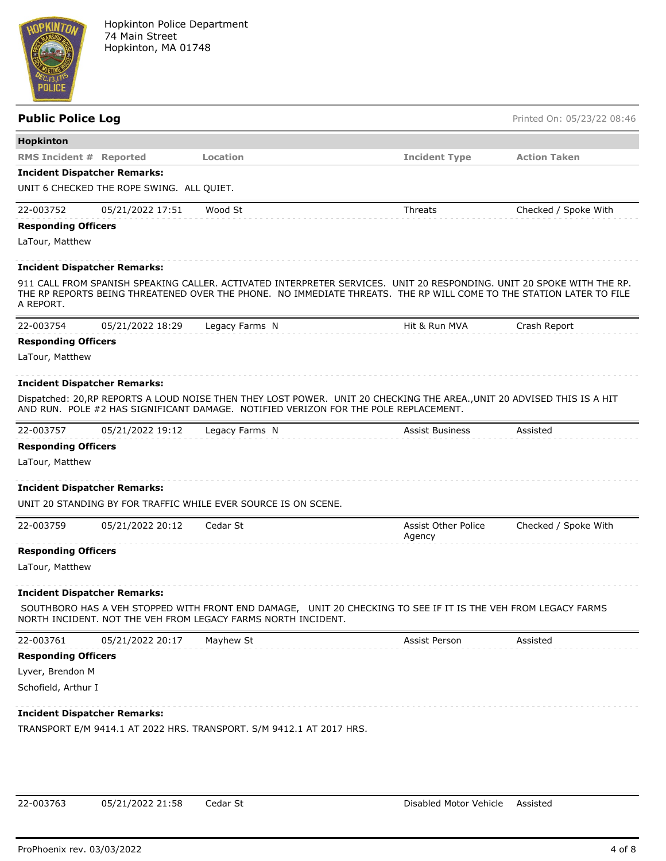

| <b>Public Police Log</b>       |                                           |                                                                                                                                                                                                                                              |                                      | Printed On: 05/23/22 08:46 |
|--------------------------------|-------------------------------------------|----------------------------------------------------------------------------------------------------------------------------------------------------------------------------------------------------------------------------------------------|--------------------------------------|----------------------------|
| Hopkinton                      |                                           |                                                                                                                                                                                                                                              |                                      |                            |
| <b>RMS Incident # Reported</b> |                                           | Location                                                                                                                                                                                                                                     | <b>Incident Type</b>                 | <b>Action Taken</b>        |
|                                | <b>Incident Dispatcher Remarks:</b>       |                                                                                                                                                                                                                                              |                                      |                            |
|                                | UNIT 6 CHECKED THE ROPE SWING. ALL QUIET. |                                                                                                                                                                                                                                              |                                      |                            |
| 22-003752                      | 05/21/2022 17:51                          | Wood St                                                                                                                                                                                                                                      | Threats                              | Checked / Spoke With       |
| <b>Responding Officers</b>     |                                           |                                                                                                                                                                                                                                              |                                      |                            |
| LaTour, Matthew                |                                           |                                                                                                                                                                                                                                              |                                      |                            |
|                                | <b>Incident Dispatcher Remarks:</b>       |                                                                                                                                                                                                                                              |                                      |                            |
| A REPORT.                      |                                           | 911 CALL FROM SPANISH SPEAKING CALLER. ACTIVATED INTERPRETER SERVICES. UNIT 20 RESPONDING. UNIT 20 SPOKE WITH THE RP.<br>THE RP REPORTS BEING THREATENED OVER THE PHONE. NO IMMEDIATE THREATS. THE RP WILL COME TO THE STATION LATER TO FILE |                                      |                            |
| 22-003754                      | 05/21/2022 18:29                          | Legacy Farms N                                                                                                                                                                                                                               | Hit & Run MVA                        | Crash Report               |
| <b>Responding Officers</b>     |                                           |                                                                                                                                                                                                                                              |                                      |                            |
| LaTour, Matthew                |                                           |                                                                                                                                                                                                                                              |                                      |                            |
|                                | <b>Incident Dispatcher Remarks:</b>       | Dispatched: 20, RP REPORTS A LOUD NOISE THEN THEY LOST POWER. UNIT 20 CHECKING THE AREA., UNIT 20 ADVISED THIS IS A HIT<br>AND RUN. POLE #2 HAS SIGNIFICANT DAMAGE. NOTIFIED VERIZON FOR THE POLE REPLACEMENT.                               |                                      |                            |
| 22-003757                      | 05/21/2022 19:12                          | Legacy Farms N                                                                                                                                                                                                                               | <b>Assist Business</b>               | Assisted                   |
| <b>Responding Officers</b>     |                                           |                                                                                                                                                                                                                                              |                                      |                            |
| LaTour, Matthew                |                                           |                                                                                                                                                                                                                                              |                                      |                            |
|                                | <b>Incident Dispatcher Remarks:</b>       |                                                                                                                                                                                                                                              |                                      |                            |
|                                |                                           | UNIT 20 STANDING BY FOR TRAFFIC WHILE EVER SOURCE IS ON SCENE.                                                                                                                                                                               |                                      |                            |
| 22-003759                      | 05/21/2022 20:12                          | Cedar St                                                                                                                                                                                                                                     | <b>Assist Other Police</b><br>Agency | Checked / Spoke With       |
| <b>Responding Officers</b>     |                                           |                                                                                                                                                                                                                                              |                                      |                            |
| LaTour, Matthew                |                                           |                                                                                                                                                                                                                                              |                                      |                            |
|                                | <b>Incident Dispatcher Remarks:</b>       |                                                                                                                                                                                                                                              |                                      |                            |
|                                |                                           | SOUTHBORO HAS A VEH STOPPED WITH FRONT END DAMAGE, UNIT 20 CHECKING TO SEE IF IT IS THE VEH FROM LEGACY FARMS<br>NORTH INCIDENT. NOT THE VEH FROM LEGACY FARMS NORTH INCIDENT.                                                               |                                      |                            |
| 22-003761                      | 05/21/2022 20:17                          | Mayhew St                                                                                                                                                                                                                                    | Assist Person                        | Assisted                   |
| <b>Responding Officers</b>     |                                           |                                                                                                                                                                                                                                              |                                      |                            |
| Lyver, Brendon M               |                                           |                                                                                                                                                                                                                                              |                                      |                            |
| Schofield, Arthur I            |                                           |                                                                                                                                                                                                                                              |                                      |                            |
|                                | <b>Incident Dispatcher Remarks:</b>       |                                                                                                                                                                                                                                              |                                      |                            |
|                                |                                           | TRANSPORT E/M 9414.1 AT 2022 HRS. TRANSPORT. S/M 9412.1 AT 2017 HRS.                                                                                                                                                                         |                                      |                            |
|                                |                                           |                                                                                                                                                                                                                                              |                                      |                            |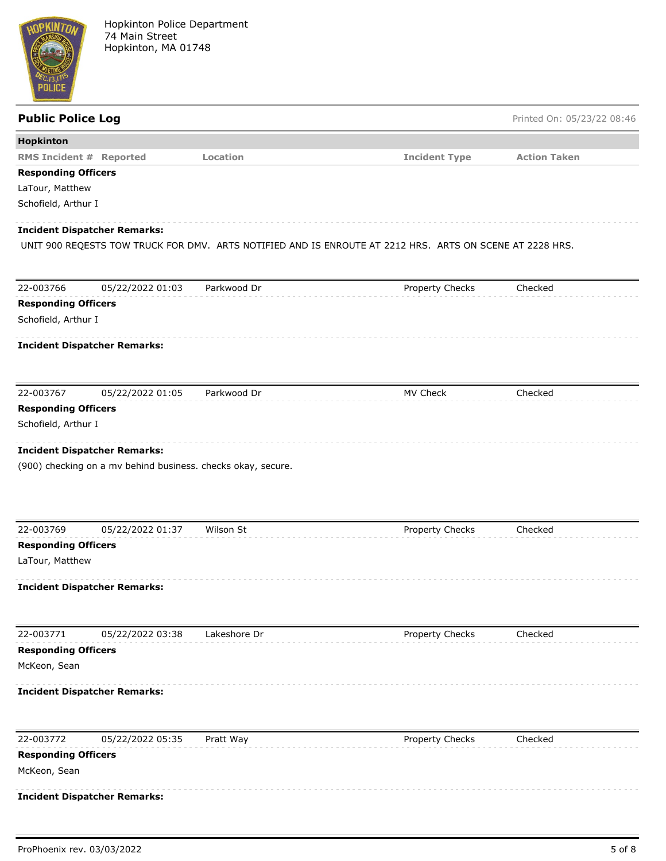

| <b>Public Police Log</b>       |                                                              |              |                                                                                                          | Printed On: 05/23/22 08:46 |
|--------------------------------|--------------------------------------------------------------|--------------|----------------------------------------------------------------------------------------------------------|----------------------------|
| <b>Hopkinton</b>               |                                                              |              |                                                                                                          |                            |
| <b>RMS Incident # Reported</b> |                                                              | Location     | <b>Incident Type</b>                                                                                     | <b>Action Taken</b>        |
| <b>Responding Officers</b>     |                                                              |              |                                                                                                          |                            |
| LaTour, Matthew                |                                                              |              |                                                                                                          |                            |
| Schofield, Arthur I            |                                                              |              |                                                                                                          |                            |
|                                | Incident Dispatcher Remarks:                                 |              |                                                                                                          |                            |
|                                |                                                              |              | UNIT 900 REQESTS TOW TRUCK FOR DMV. ARTS NOTIFIED AND IS ENROUTE AT 2212 HRS. ARTS ON SCENE AT 2228 HRS. |                            |
|                                |                                                              |              |                                                                                                          |                            |
| 22-003766                      | 05/22/2022 01:03                                             | Parkwood Dr  | Property Checks                                                                                          | Checked                    |
| <b>Responding Officers</b>     |                                                              |              |                                                                                                          |                            |
| Schofield, Arthur I            |                                                              |              |                                                                                                          |                            |
|                                | Incident Dispatcher Remarks:                                 |              |                                                                                                          |                            |
|                                |                                                              |              |                                                                                                          |                            |
| 22-003767                      | 05/22/2022 01:05                                             | Parkwood Dr  | MV Check                                                                                                 | Checked                    |
| <b>Responding Officers</b>     |                                                              |              |                                                                                                          |                            |
| Schofield, Arthur I            |                                                              |              |                                                                                                          |                            |
|                                | Incident Dispatcher Remarks:                                 |              |                                                                                                          |                            |
|                                | (900) checking on a mv behind business. checks okay, secure. |              |                                                                                                          |                            |
|                                |                                                              |              |                                                                                                          |                            |
|                                |                                                              |              |                                                                                                          |                            |
|                                |                                                              |              |                                                                                                          |                            |
| 22-003769                      | 05/22/2022 01:37                                             | Wilson St    | Property Checks                                                                                          | Checked                    |
| <b>Responding Officers</b>     |                                                              |              |                                                                                                          |                            |
| LaTour, Matthew                |                                                              |              |                                                                                                          |                            |
|                                | Incident Dispatcher Remarks:                                 |              |                                                                                                          |                            |
|                                |                                                              |              |                                                                                                          |                            |
| 22-003771                      | 05/22/2022 03:38                                             | Lakeshore Dr | Property Checks                                                                                          | Checked                    |
| <b>Responding Officers</b>     |                                                              |              |                                                                                                          |                            |
| McKeon, Sean                   |                                                              |              |                                                                                                          |                            |
|                                | Incident Dispatcher Remarks:                                 |              |                                                                                                          |                            |
|                                |                                                              |              |                                                                                                          |                            |
| 22-003772                      | 05/22/2022 05:35                                             | Pratt Way    | Property Checks                                                                                          | Checked                    |
| <b>Responding Officers</b>     |                                                              |              |                                                                                                          |                            |
| McKeon, Sean                   |                                                              |              |                                                                                                          |                            |
|                                | Incident Dispatcher Remarks:                                 |              |                                                                                                          |                            |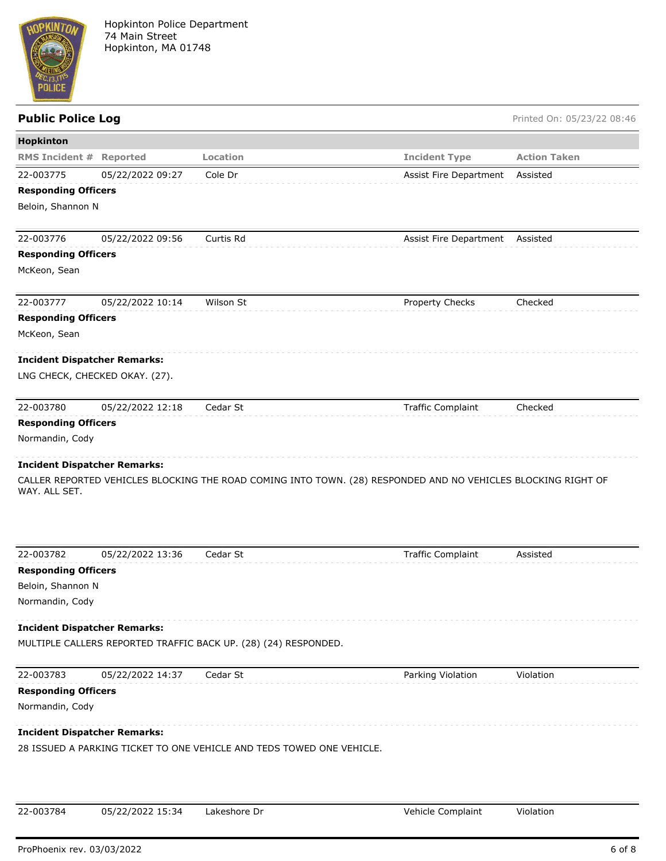

## **Public Police Log** Printed On: 05/23/22 08:46 **Hopkinton RMS Incident # Reported Location Incident Type Action Taken** 22-003775 05/22/2022 09:27 Cole Dr Assist Fire Department Assisted **Responding Officers** Beloin, Shannon N 22-003776 05/22/2022 09:56 Curtis Rd Assist Fire Department Assisted **Responding Officers** McKeon, Sean 22-003777 05/22/2022 10:14 Wilson St Property Checks Checked **Responding Officers** McKeon, Sean **Incident Dispatcher Remarks:** LNG CHECK, CHECKED OKAY. (27). 22-003780 05/22/2022 12:18 Cedar St Traffic Complaint Checked **Responding Officers** Normandin, Cody **Incident Dispatcher Remarks:** CALLER REPORTED VEHICLES BLOCKING THE ROAD COMING INTO TOWN. (28) RESPONDED AND NO VEHICLES BLOCKING RIGHT OF WAY. ALL SET. 22-003782 05/22/2022 13:36 Cedar St Traffic Complaint Assisted **Responding Officers** Beloin, Shannon N Normandin, Cody

### **Incident Dispatcher Remarks:**

MULTIPLE CALLERS REPORTED TRAFFIC BACK UP. (28) (24) RESPONDED.

22-003783 05/22/2022 14:37 Cedar St Parking Violation Violation **Responding Officers** Normandin, Cody **Incident Dispatcher Remarks:** 28 ISSUED A PARKING TICKET TO ONE VEHICLE AND TEDS TOWED ONE VEHICLE.

| 22-003784 | 05/22/2022 15:34 | Lakeshore Dr | Vehicle Complaint | Violation |
|-----------|------------------|--------------|-------------------|-----------|
|           |                  |              |                   |           |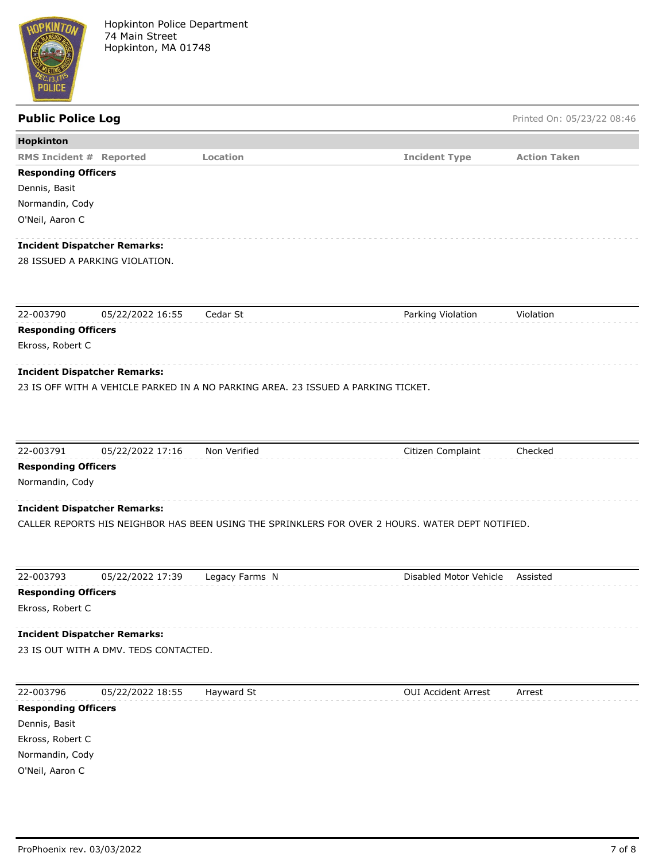

# **Public Police Log** Printed On: 05/23/22 08:46 **Hopkinton RMS Incident # Reported Location Incident Type Action Taken Responding Officers** Dennis, Basit Normandin, Cody O'Neil, Aaron C **Incident Dispatcher Remarks:** 28 ISSUED A PARKING VIOLATION. 22-003790 05/22/2022 16:55 Cedar St Parking Violation Violation **Responding Officers** Ekross, Robert C **Incident Dispatcher Remarks:** 23 IS OFF WITH A VEHICLE PARKED IN A NO PARKING AREA. 23 ISSUED A PARKING TICKET. 22-003791 05/22/2022 17:16 Non Verified Citizen Complaint Checked

**Responding Officers**

Normandin, Cody

## **Incident Dispatcher Remarks:**

CALLER REPORTS HIS NEIGHBOR HAS BEEN USING THE SPRINKLERS FOR OVER 2 HOURS. WATER DEPT NOTIFIED.

| 22-003793                  | 05/22/2022 17:39                      | Legacy Farms N | Disabled Motor Vehicle     | Assisted |
|----------------------------|---------------------------------------|----------------|----------------------------|----------|
| <b>Responding Officers</b> |                                       |                |                            |          |
| Ekross, Robert C           |                                       |                |                            |          |
|                            | <b>Incident Dispatcher Remarks:</b>   |                |                            |          |
|                            | 23 IS OUT WITH A DMV. TEDS CONTACTED. |                |                            |          |
|                            |                                       |                |                            |          |
| 22-003796                  | 05/22/2022 18:55                      | Hayward St     | <b>OUI Accident Arrest</b> | Arrest   |
| <b>Responding Officers</b> |                                       |                |                            |          |
| Dennis, Basit              |                                       |                |                            |          |
|                            |                                       |                |                            |          |

Ekross, Robert C Normandin, Cody O'Neil, Aaron C